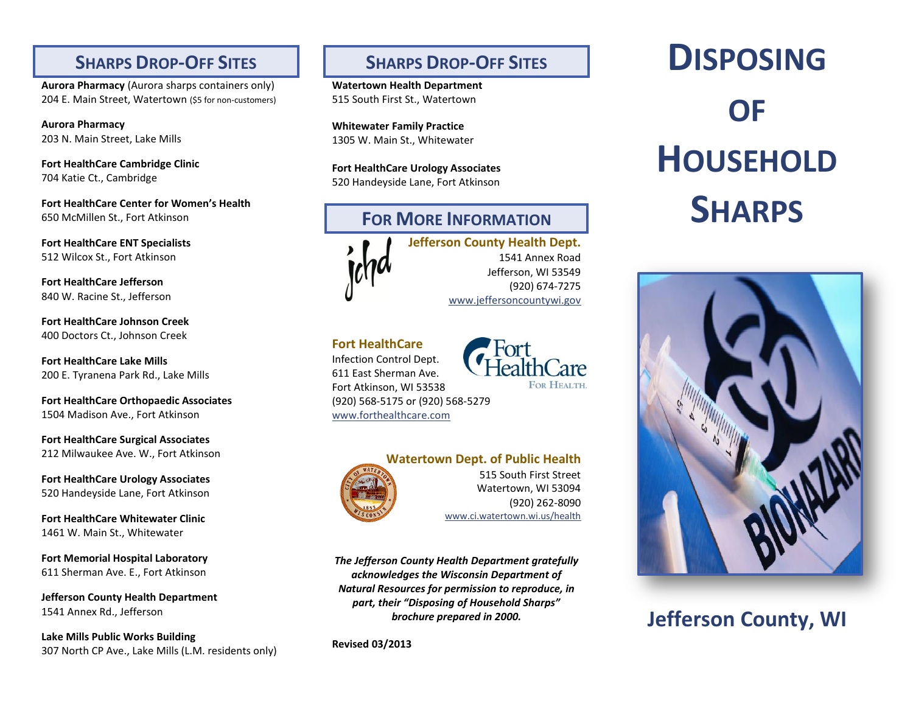### **SHARPS DROP-OFF SITES**

**Aurora Pharmacy** (Aurora sharps containers only) 204 E. Main Street, Watertown (\$5 for non-customers)

**Aurora Pharmacy** 203 N. Main Street, Lake Mills

**Fort HealthCare Cambridge Clinic** 704 Katie Ct., Cambridge

**Fort HealthCare Center for Women's Health** 650 McMillen St., Fort Atkinson

**Fort HealthCare ENT Specialists** 512 Wilcox St., Fort Atkinson

**Fort HealthCare Jefferson** 840 W. Racine St., Jefferson

**Fort HealthCare Johnson Creek**  400 Doctors Ct., Johnson Creek

**Fort HealthCare Lake Mills** 200 E. Tyranena Park Rd., Lake Mills

**Fort HealthCare Orthopaedic Associates** 1504 Madison Ave., Fort Atkinson

**Fort HealthCare Surgical Associates**  212 Milwaukee Ave. W., Fort Atkinson

**Fort HealthCare Urology Associates** 520 Handeyside Lane, Fort Atkinson

**Fort HealthCare Whitewater Clinic** 1461 W. Main St., Whitewater

**Fort Memorial Hospital Laboratory** 611 Sherman Ave. E., Fort Atkinson

**Jefferson County Health Department**  1541 Annex Rd., Jefferson

**Lake Mills Public Works Building** 307 North CP Ave., Lake Mills (L.M. residents only)

# **SHARPS DROP-OFF SITES**

**Watertown Health Department** 515 South First St., Watertown

**Whitewater Family Practice** 1305 W. Main St., Whitewater

**Fort HealthCare Urology Associates** 520 Handeyside Lane, Fort Atkinson

# **FOR MORE INFORMATION**

**Jefferson County Health Dept.** 1541 Annex Road Jefferson, WI 53549 (920) 674-7275 [www.jeffersoncountywi.gov](http://www.jeffersoncountywi.gov/)

**Fort HealthCare** Infection Control Dept.



611 East Sherman Ave. Fort Atkinson, WI 53538 (920) 568-5175 or (920) 568-5279 [www.forthealthcare.com](http://www.forthealthcare.com/)



**Watertown Dept. of Public Health**

515 South First Street Watertown, WI 53094 (920) 262-8090 [www.ci.watertown.wi.us/health](http://www.ci.watertown.wi.us/health)

*The Jefferson County Health Department gratefully acknowledges the Wisconsin Department of Natural Resources for permission to reproduce, in part, their "Disposing of Household Sharps" brochure prepared in 2000.*

**Revised 03/2013**

# **DISPOSING OF HOUSEHOLD SHARPS**



# **Jefferson County, WI**